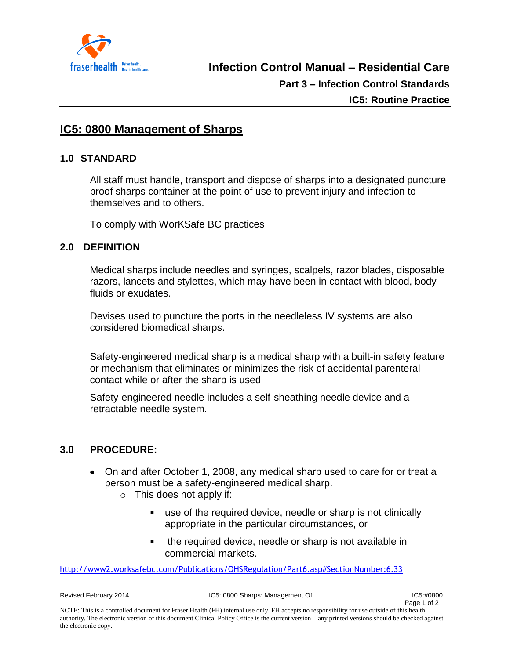

# **IC5: 0800 Management of Sharps**

#### **1.0 STANDARD**

All staff must handle, transport and dispose of sharps into a designated puncture proof sharps container at the point of use to prevent injury and infection to themselves and to others.

To comply with WorKSafe BC practices

## **2.0 DEFINITION**

Medical sharps include needles and syringes, scalpels, razor blades, disposable razors, lancets and stylettes, which may have been in contact with blood, body fluids or exudates.

Devises used to puncture the ports in the needleless IV systems are also considered biomedical sharps.

Safety-engineered medical sharp is a medical sharp with a built-in safety feature or mechanism that eliminates or minimizes the risk of accidental parenteral contact while or after the sharp is used

Safety-engineered needle includes a self-sheathing needle device and a retractable needle system.

## **3.0 PROCEDURE:**

- On and after October 1, 2008, any medical sharp used to care for or treat a person must be a safety-engineered medical sharp.
	- $\circ$  This does not apply if:
		- use of the required device, needle or sharp is not clinically appropriate in the particular circumstances, or
		- **the required device, needle or sharp is not available in** commercial markets.

<http://www2.worksafebc.com/Publications/OHSRegulation/Part6.asp#SectionNumber:6.33>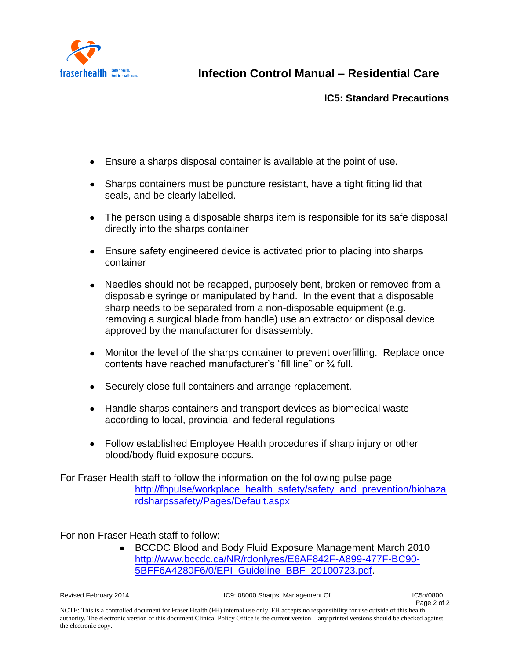

**Infection Control Manual – Residential Care**

- Ensure a sharps disposal container is available at the point of use.
- Sharps containers must be puncture resistant, have a tight fitting lid that seals, and be clearly labelled.
- The person using a disposable sharps item is responsible for its safe disposal directly into the sharps container
- Ensure safety engineered device is activated prior to placing into sharps container
- Needles should not be recapped, purposely bent, broken or removed from a disposable syringe or manipulated by hand. In the event that a disposable sharp needs to be separated from a non-disposable equipment (e.g. removing a surgical blade from handle) use an extractor or disposal device approved by the manufacturer for disassembly.
- Monitor the level of the sharps container to prevent overfilling. Replace once contents have reached manufacturer's "fill line" or ¾ full.
- Securely close full containers and arrange replacement.
- Handle sharps containers and transport devices as biomedical waste according to local, provincial and federal regulations
- Follow established Employee Health procedures if sharp injury or other blood/body fluid exposure occurs.

For Fraser Health staff to follow the information on the following pulse page [http://fhpulse/workplace\\_health\\_safety/safety\\_and\\_prevention/biohaza](http://fhpulse/workplace_health_safety/safety_and_prevention/biohazardsharpssafety/Pages/Default.aspx) [rdsharpssafety/Pages/Default.aspx](http://fhpulse/workplace_health_safety/safety_and_prevention/biohazardsharpssafety/Pages/Default.aspx)

For non-Fraser Heath staff to follow:

BCCDC Blood and Body Fluid Exposure Management March 2010  $\bullet$ [http://www.bccdc.ca/NR/rdonlyres/E6AF842F-A899-477F-BC90-](http://www.bccdc.ca/NR/rdonlyres/E6AF842F-A899-477F-BC90-5BFF6A4280F6/0/EPI_Guideline_BBF_20100723.pdf) [5BFF6A4280F6/0/EPI\\_Guideline\\_BBF\\_20100723.pdf.](http://www.bccdc.ca/NR/rdonlyres/E6AF842F-A899-477F-BC90-5BFF6A4280F6/0/EPI_Guideline_BBF_20100723.pdf)